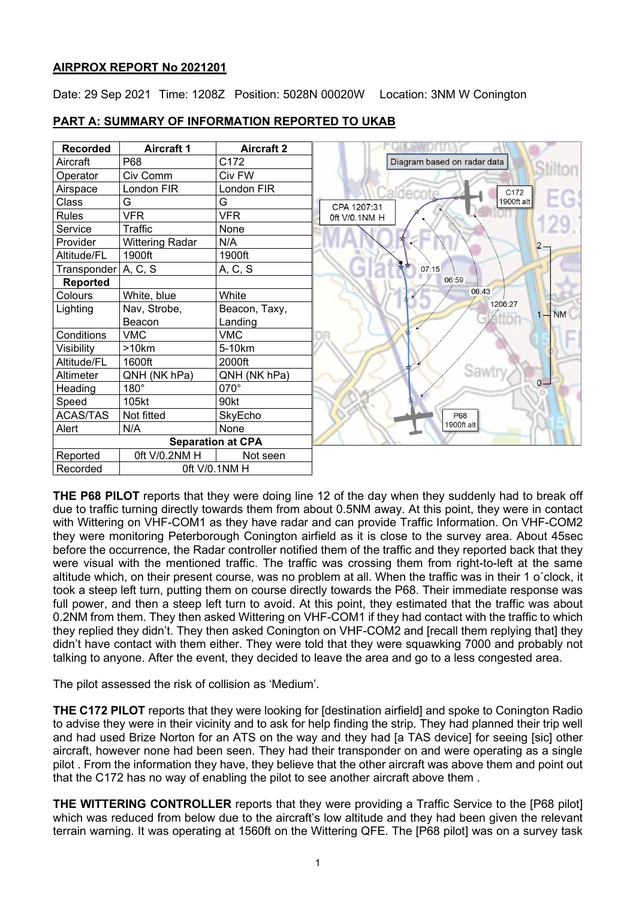# **AIRPROX REPORT No 2021201**

Date: 29 Sep 2021 Time: 1208Z Position: 5028N 00020W Location: 3NM W Conington



## **PART A: SUMMARY OF INFORMATION REPORTED TO UKAB**

**THE P68 PILOT** reports that they were doing line 12 of the day when they suddenly had to break off due to traffic turning directly towards them from about 0.5NM away. At this point, they were in contact with Wittering on VHF-COM1 as they have radar and can provide Traffic Information. On VHF-COM2 they were monitoring Peterborough Conington airfield as it is close to the survey area. About 45sec before the occurrence, the Radar controller notified them of the traffic and they reported back that they were visual with the mentioned traffic. The traffic was crossing them from right-to-left at the same altitude which, on their present course, was no problem at all. When the traffic was in their 1 o´clock, it took a steep left turn, putting them on course directly towards the P68. Their immediate response was full power, and then a steep left turn to avoid. At this point, they estimated that the traffic was about 0.2NM from them. They then asked Wittering on VHF-COM1 if they had contact with the traffic to which they replied they didn't. They then asked Conington on VHF-COM2 and [recall them replying that] they didn't have contact with them either. They were told that they were squawking 7000 and probably not talking to anyone. After the event, they decided to leave the area and go to a less congested area.

The pilot assessed the risk of collision as 'Medium'.

**THE C172 PILOT** reports that they were looking for [destination airfield] and spoke to Conington Radio to advise they were in their vicinity and to ask for help finding the strip. They had planned their trip well and had used Brize Norton for an ATS on the way and they had [a TAS device] for seeing [sic] other aircraft, however none had been seen. They had their transponder on and were operating as a single pilot . From the information they have, they believe that the other aircraft was above them and point out that the C172 has no way of enabling the pilot to see another aircraft above them .

**THE WITTERING CONTROLLER** reports that they were providing a Traffic Service to the [P68 pilot] which was reduced from below due to the aircraft's low altitude and they had been given the relevant terrain warning. It was operating at 1560ft on the Wittering QFE. The [P68 pilot] was on a survey task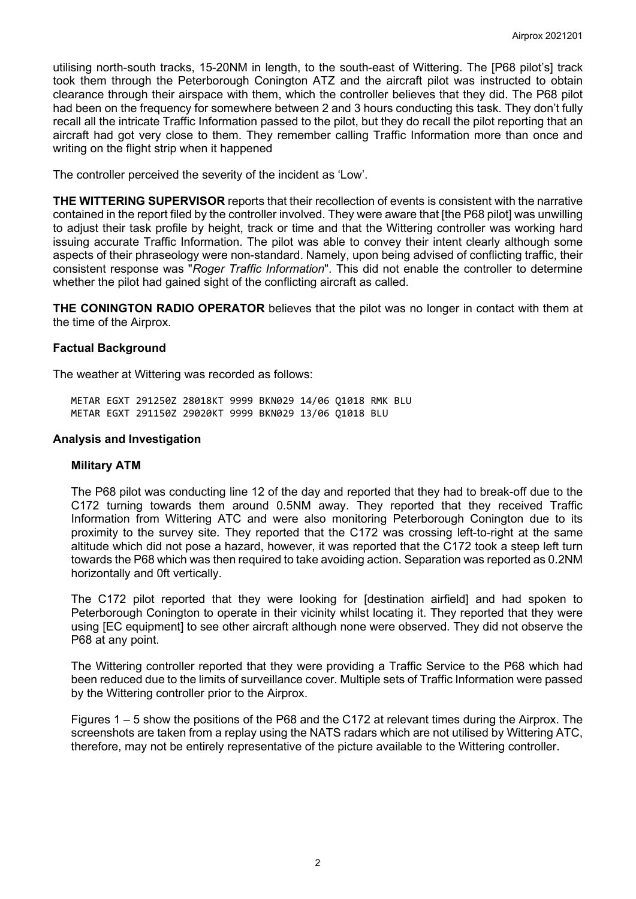utilising north-south tracks, 15-20NM in length, to the south-east of Wittering. The [P68 pilot's] track took them through the Peterborough Conington ATZ and the aircraft pilot was instructed to obtain clearance through their airspace with them, which the controller believes that they did. The P68 pilot had been on the frequency for somewhere between 2 and 3 hours conducting this task. They don't fully recall all the intricate Traffic Information passed to the pilot, but they do recall the pilot reporting that an aircraft had got very close to them. They remember calling Traffic Information more than once and writing on the flight strip when it happened

The controller perceived the severity of the incident as 'Low'.

**THE WITTERING SUPERVISOR** reports that their recollection of events is consistent with the narrative contained in the report filed by the controller involved. They were aware that [the P68 pilot] was unwilling to adjust their task profile by height, track or time and that the Wittering controller was working hard issuing accurate Traffic Information. The pilot was able to convey their intent clearly although some aspects of their phraseology were non-standard. Namely, upon being advised of conflicting traffic, their consistent response was "*Roger Traffic Information*". This did not enable the controller to determine whether the pilot had gained sight of the conflicting aircraft as called.

**THE CONINGTON RADIO OPERATOR** believes that the pilot was no longer in contact with them at the time of the Airprox.

## **Factual Background**

The weather at Wittering was recorded as follows:

METAR EGXT 291250Z 28018KT 9999 BKN029 14/06 Q1018 RMK BLU METAR EGXT 291150Z 29020KT 9999 BKN029 13/06 Q1018 BLU

## **Analysis and Investigation**

#### **Military ATM**

The P68 pilot was conducting line 12 of the day and reported that they had to break-off due to the C172 turning towards them around 0.5NM away. They reported that they received Traffic Information from Wittering ATC and were also monitoring Peterborough Conington due to its proximity to the survey site. They reported that the C172 was crossing left-to-right at the same altitude which did not pose a hazard, however, it was reported that the C172 took a steep left turn towards the P68 which was then required to take avoiding action. Separation was reported as 0.2NM horizontally and 0ft vertically.

The C172 pilot reported that they were looking for [destination airfield] and had spoken to Peterborough Conington to operate in their vicinity whilst locating it. They reported that they were using [EC equipment] to see other aircraft although none were observed. They did not observe the P68 at any point.

The Wittering controller reported that they were providing a Traffic Service to the P68 which had been reduced due to the limits of surveillance cover. Multiple sets of Traffic Information were passed by the Wittering controller prior to the Airprox.

Figures 1 – 5 show the positions of the P68 and the C172 at relevant times during the Airprox. The screenshots are taken from a replay using the NATS radars which are not utilised by Wittering ATC, therefore, may not be entirely representative of the picture available to the Wittering controller.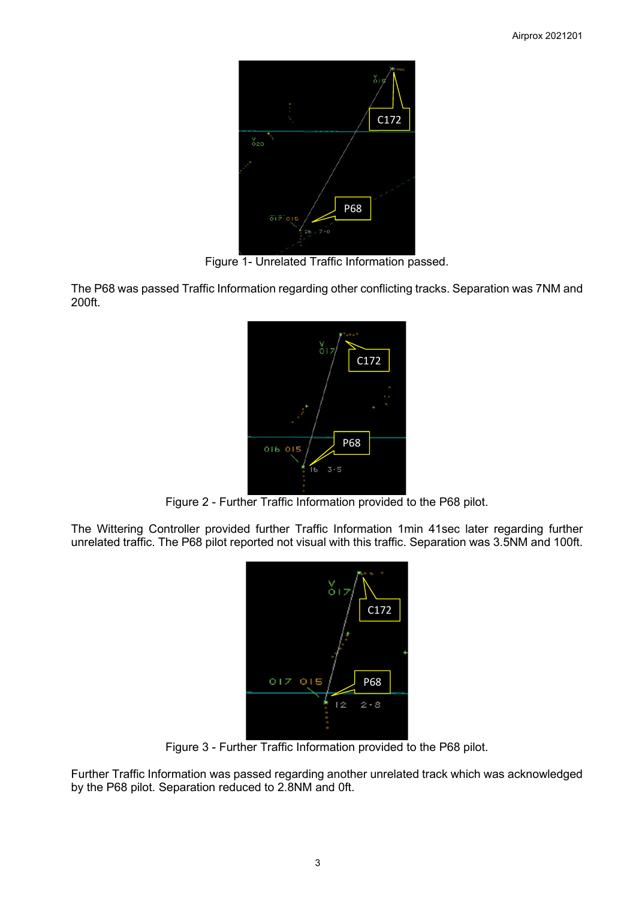

Figure 1- Unrelated Traffic Information passed.

The P68 was passed Traffic Information regarding other conflicting tracks. Separation was 7NM and 200ft.



Figure 2 - Further Traffic Information provided to the P68 pilot.

The Wittering Controller provided further Traffic Information 1min 41sec later regarding further unrelated traffic. The P68 pilot reported not visual with this traffic. Separation was 3.5NM and 100ft.



Figure 3 - Further Traffic Information provided to the P68 pilot.

Further Traffic Information was passed regarding another unrelated track which was acknowledged by the P68 pilot. Separation reduced to 2.8NM and 0ft.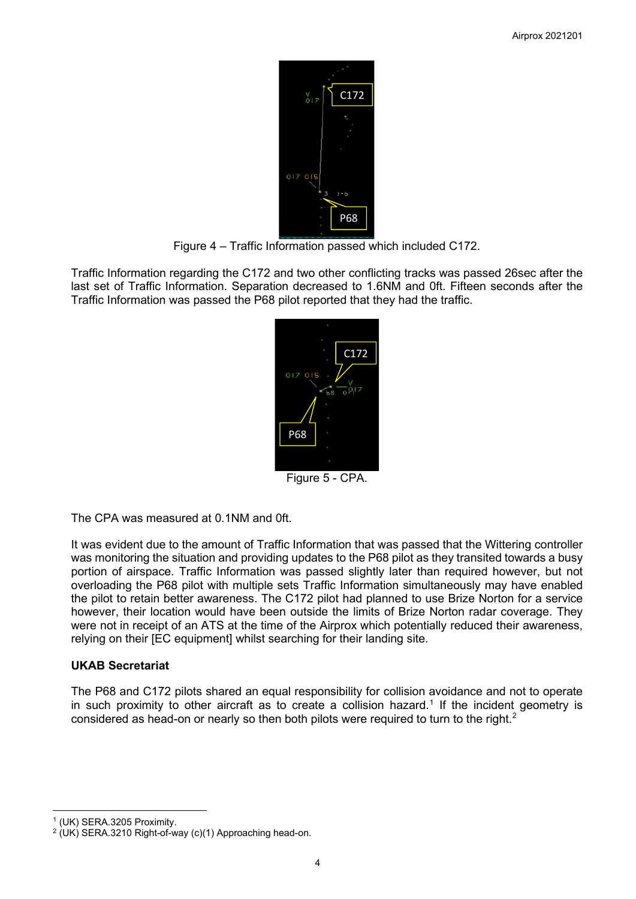

Figure 4 – Traffic Information passed which included C172.

Traffic Information regarding the C172 and two other conflicting tracks was passed 26sec after the last set of Traffic Information. Separation decreased to 1.6NM and 0ft. Fifteen seconds after the Traffic Information was passed the P68 pilot reported that they had the traffic.



Figure 5 - CPA.

The CPA was measured at 0.1NM and 0ft.

It was evident due to the amount of Traffic Information that was passed that the Wittering controller was monitoring the situation and providing updates to the P68 pilot as they transited towards a busy portion of airspace. Traffic Information was passed slightly later than required however, but not overloading the P68 pilot with multiple sets Traffic Information simultaneously may have enabled the pilot to retain better awareness. The C172 pilot had planned to use Brize Norton for a service however, their location would have been outside the limits of Brize Norton radar coverage. They were not in receipt of an ATS at the time of the Airprox which potentially reduced their awareness, relying on their [EC equipment] whilst searching for their landing site.

# **UKAB Secretariat**

The P68 and C172 pilots shared an equal responsibility for collision avoidance and not to operate in such proximity to other aircraft as to create a collision hazard. [1](#page-3-0) If the incident geometry is considered as head-on or nearly so then both pilots were required to turn to the right.<sup>[2](#page-3-1)</sup>

<span id="page-3-0"></span><sup>1</sup> (UK) SERA.3205 Proximity.

<span id="page-3-1"></span><sup>2</sup> (UK) SERA.3210 Right-of-way (c)(1) Approaching head-on.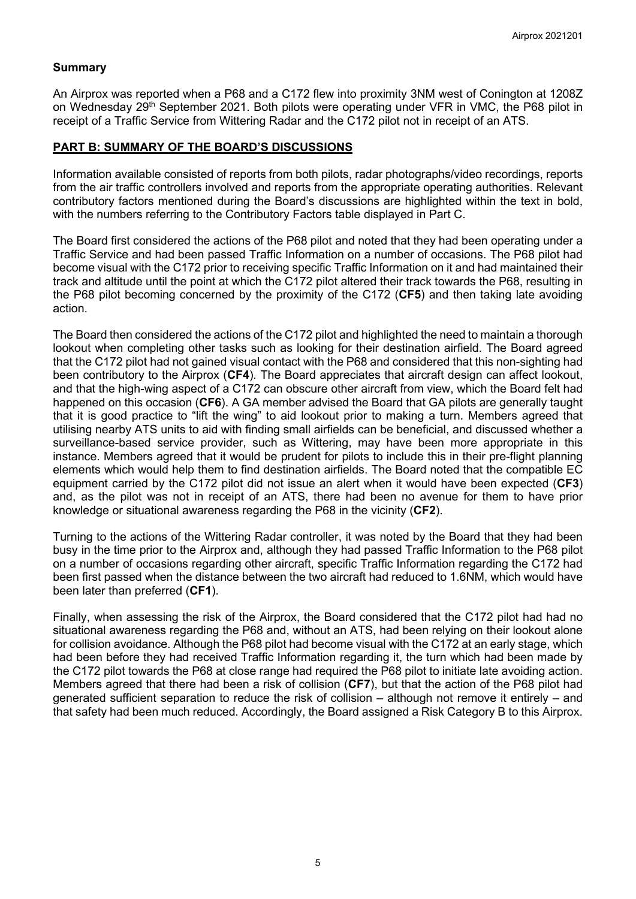# **Summary**

An Airprox was reported when a P68 and a C172 flew into proximity 3NM west of Conington at 1208Z on Wednesday 29<sup>th</sup> September 2021. Both pilots were operating under VFR in VMC, the P68 pilot in receipt of a Traffic Service from Wittering Radar and the C172 pilot not in receipt of an ATS.

# **PART B: SUMMARY OF THE BOARD'S DISCUSSIONS**

Information available consisted of reports from both pilots, radar photographs/video recordings, reports from the air traffic controllers involved and reports from the appropriate operating authorities. Relevant contributory factors mentioned during the Board's discussions are highlighted within the text in bold, with the numbers referring to the Contributory Factors table displayed in Part C.

The Board first considered the actions of the P68 pilot and noted that they had been operating under a Traffic Service and had been passed Traffic Information on a number of occasions. The P68 pilot had become visual with the C172 prior to receiving specific Traffic Information on it and had maintained their track and altitude until the point at which the C172 pilot altered their track towards the P68, resulting in the P68 pilot becoming concerned by the proximity of the C172 (**CF5**) and then taking late avoiding action.

The Board then considered the actions of the C172 pilot and highlighted the need to maintain a thorough lookout when completing other tasks such as looking for their destination airfield. The Board agreed that the C172 pilot had not gained visual contact with the P68 and considered that this non-sighting had been contributory to the Airprox (**CF4**). The Board appreciates that aircraft design can affect lookout, and that the high-wing aspect of a C172 can obscure other aircraft from view, which the Board felt had happened on this occasion (**CF6**). A GA member advised the Board that GA pilots are generally taught that it is good practice to "lift the wing" to aid lookout prior to making a turn. Members agreed that utilising nearby ATS units to aid with finding small airfields can be beneficial, and discussed whether a surveillance-based service provider, such as Wittering, may have been more appropriate in this instance. Members agreed that it would be prudent for pilots to include this in their pre-flight planning elements which would help them to find destination airfields. The Board noted that the compatible EC equipment carried by the C172 pilot did not issue an alert when it would have been expected (**CF3**) and, as the pilot was not in receipt of an ATS, there had been no avenue for them to have prior knowledge or situational awareness regarding the P68 in the vicinity (**CF2**).

Turning to the actions of the Wittering Radar controller, it was noted by the Board that they had been busy in the time prior to the Airprox and, although they had passed Traffic Information to the P68 pilot on a number of occasions regarding other aircraft, specific Traffic Information regarding the C172 had been first passed when the distance between the two aircraft had reduced to 1.6NM, which would have been later than preferred (**CF1**).

Finally, when assessing the risk of the Airprox, the Board considered that the C172 pilot had had no situational awareness regarding the P68 and, without an ATS, had been relying on their lookout alone for collision avoidance. Although the P68 pilot had become visual with the C172 at an early stage, which had been before they had received Traffic Information regarding it, the turn which had been made by the C172 pilot towards the P68 at close range had required the P68 pilot to initiate late avoiding action. Members agreed that there had been a risk of collision (**CF7**), but that the action of the P68 pilot had generated sufficient separation to reduce the risk of collision – although not remove it entirely – and that safety had been much reduced. Accordingly, the Board assigned a Risk Category B to this Airprox.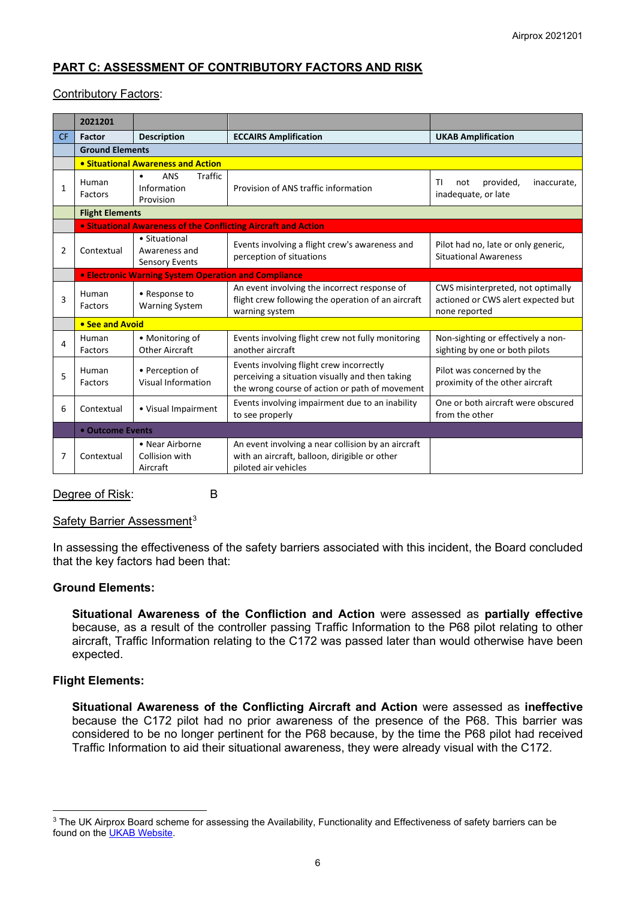# **PART C: ASSESSMENT OF CONTRIBUTORY FACTORS AND RISK**

## Contributory Factors:

|           | 2021201                                                        |                                                                |                                                                                                                                               |                                                                                          |  |  |  |  |  |  |  |
|-----------|----------------------------------------------------------------|----------------------------------------------------------------|-----------------------------------------------------------------------------------------------------------------------------------------------|------------------------------------------------------------------------------------------|--|--|--|--|--|--|--|
| <b>CF</b> | <b>Factor</b>                                                  | <b>Description</b>                                             | <b>ECCAIRS Amplification</b>                                                                                                                  | <b>UKAB Amplification</b>                                                                |  |  |  |  |  |  |  |
|           | <b>Ground Elements</b>                                         |                                                                |                                                                                                                                               |                                                                                          |  |  |  |  |  |  |  |
|           | • Situational Awareness and Action                             |                                                                |                                                                                                                                               |                                                                                          |  |  |  |  |  |  |  |
| 1         | Human<br>Factors                                               | Traffic<br><b>ANS</b><br>$\bullet$<br>Information<br>Provision | Provision of ANS traffic information                                                                                                          | ΤI<br>provided,<br>inaccurate,<br>not<br>inadequate, or late                             |  |  |  |  |  |  |  |
|           | <b>Flight Elements</b>                                         |                                                                |                                                                                                                                               |                                                                                          |  |  |  |  |  |  |  |
|           | • Situational Awareness of the Conflicting Aircraft and Action |                                                                |                                                                                                                                               |                                                                                          |  |  |  |  |  |  |  |
| 2         | Contextual                                                     | • Situational<br>Awareness and<br><b>Sensory Events</b>        | Events involving a flight crew's awareness and<br>perception of situations                                                                    | Pilot had no, late or only generic,<br><b>Situational Awareness</b>                      |  |  |  |  |  |  |  |
|           |                                                                | <b>• Electronic Warning System Operation and Compliance</b>    |                                                                                                                                               |                                                                                          |  |  |  |  |  |  |  |
| 3         | Human<br>Factors                                               | • Response to<br><b>Warning System</b>                         | An event involving the incorrect response of<br>flight crew following the operation of an aircraft<br>warning system                          | CWS misinterpreted, not optimally<br>actioned or CWS alert expected but<br>none reported |  |  |  |  |  |  |  |
|           | • See and Avoid                                                |                                                                |                                                                                                                                               |                                                                                          |  |  |  |  |  |  |  |
| 4         | Human<br>Factors                                               | • Monitoring of<br>Other Aircraft                              | Events involving flight crew not fully monitoring<br>another aircraft                                                                         | Non-sighting or effectively a non-<br>sighting by one or both pilots                     |  |  |  |  |  |  |  |
| 5         | Human<br>Factors                                               | • Perception of<br><b>Visual Information</b>                   | Events involving flight crew incorrectly<br>perceiving a situation visually and then taking<br>the wrong course of action or path of movement | Pilot was concerned by the<br>proximity of the other aircraft                            |  |  |  |  |  |  |  |
| 6         | Contextual                                                     | • Visual Impairment                                            | Events involving impairment due to an inability<br>to see properly                                                                            | One or both aircraft were obscured<br>from the other                                     |  |  |  |  |  |  |  |
|           | • Outcome Events                                               |                                                                |                                                                                                                                               |                                                                                          |  |  |  |  |  |  |  |
| 7         | Contextual                                                     | • Near Airborne<br>Collision with<br>Aircraft                  | An event involving a near collision by an aircraft<br>with an aircraft, balloon, dirigible or other<br>piloted air vehicles                   |                                                                                          |  |  |  |  |  |  |  |

#### Degree of Risk: B

#### Safety Barrier Assessment<sup>[3](#page-5-0)</sup>

In assessing the effectiveness of the safety barriers associated with this incident, the Board concluded that the key factors had been that:

#### **Ground Elements:**

**Situational Awareness of the Confliction and Action** were assessed as **partially effective** because, as a result of the controller passing Traffic Information to the P68 pilot relating to other aircraft, Traffic Information relating to the C172 was passed later than would otherwise have been expected.

#### **Flight Elements:**

**Situational Awareness of the Conflicting Aircraft and Action** were assessed as **ineffective** because the C172 pilot had no prior awareness of the presence of the P68. This barrier was considered to be no longer pertinent for the P68 because, by the time the P68 pilot had received Traffic Information to aid their situational awareness, they were already visual with the C172.

<span id="page-5-0"></span><sup>&</sup>lt;sup>3</sup> The UK Airprox Board scheme for assessing the Availability, Functionality and Effectiveness of safety barriers can be found on the [UKAB Website.](http://www.airproxboard.org.uk/Learn-more/Airprox-Barrier-Assessment/)